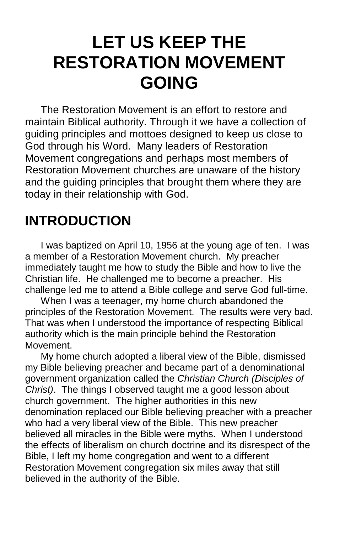## **LET US KEEP THE RESTORATION MOVEMENT GOING**

The Restoration Movement is an effort to restore and maintain Biblical authority. Through it we have a collection of guiding principles and mottoes designed to keep us close to God through his Word. Many leaders of Restoration Movement congregations and perhaps most members of Restoration Movement churches are unaware of the history and the guiding principles that brought them where they are today in their relationship with God.

## **INTRODUCTION**

I was baptized on April 10, 1956 at the young age of ten. I was a member of a Restoration Movement church. My preacher immediately taught me how to study the Bible and how to live the Christian life. He challenged me to become a preacher. His challenge led me to attend a Bible college and serve God full-time.

When I was a teenager, my home church abandoned the principles of the Restoration Movement. The results were very bad. That was when I understood the importance of respecting Biblical authority which is the main principle behind the Restoration Movement.

My home church adopted a liberal view of the Bible, dismissed my Bible believing preacher and became part of a denominational government organization called the Christian Church (Disciples of Christ). The things I observed taught me a good lesson about church government. The higher authorities in this new denomination replaced our Bible believing preacher with a preacher who had a very liberal view of the Bible. This new preacher believed all miracles in the Bible were myths. When I understood the effects of liberalism on church doctrine and its disrespect of the Bible, I left my home congregation and went to a different Restoration Movement congregation six miles away that still believed in the authority of the Bible.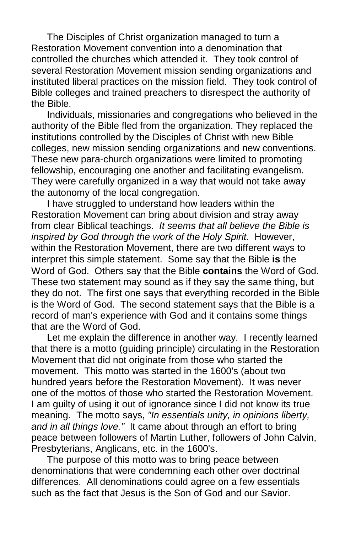The Disciples of Christ organization managed to turn a Restoration Movement convention into a denomination that controlled the churches which attended it. They took control of several Restoration Movement mission sending organizations and instituted liberal practices on the mission field. They took control of Bible colleges and trained preachers to disrespect the authority of the Bible.

Individuals, missionaries and congregations who believed in the authority of the Bible fled from the organization. They replaced the institutions controlled by the Disciples of Christ with new Bible colleges, new mission sending organizations and new conventions. These new para-church organizations were limited to promoting fellowship, encouraging one another and facilitating evangelism. They were carefully organized in a way that would not take away the autonomy of the local congregation.

I have struggled to understand how leaders within the Restoration Movement can bring about division and stray away from clear Biblical teachings. It seems that all believe the Bible is inspired by God through the work of the Holy Spirit. However, within the Restoration Movement, there are two different ways to interpret this simple statement. Some say that the Bible **is** the Word of God. Others say that the Bible **contains** the Word of God. These two statement may sound as if they say the same thing, but they do not. The first one says that everything recorded in the Bible is the Word of God. The second statement says that the Bible is a record of man's experience with God and it contains some things that are the Word of God.

Let me explain the difference in another way. I recently learned that there is a motto (guiding principle) circulating in the Restoration Movement that did not originate from those who started the movement. This motto was started in the 1600's (about two hundred years before the Restoration Movement). It was never one of the mottos of those who started the Restoration Movement. I am guilty of using it out of ignorance since I did not know its true meaning. The motto says, "In essentials unity, in opinions liberty, and in all things love." It came about through an effort to bring peace between followers of Martin Luther, followers of John Calvin, Presbyterians, Anglicans, etc. in the 1600's.

The purpose of this motto was to bring peace between denominations that were condemning each other over doctrinal differences. All denominations could agree on a few essentials such as the fact that Jesus is the Son of God and our Savior.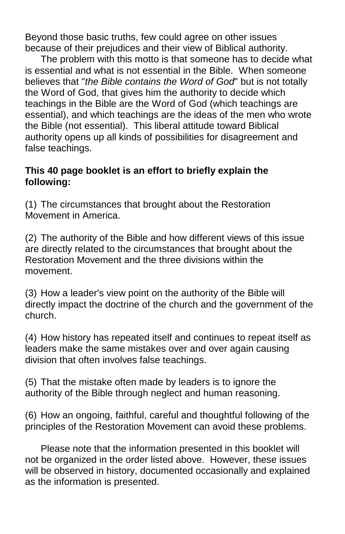Beyond those basic truths, few could agree on other issues because of their prejudices and their view of Biblical authority.

The problem with this motto is that someone has to decide what is essential and what is not essential in the Bible. When someone believes that "*the Bible contains the Word of God*" but is not totally the Word of God, that gives him the authority to decide which teachings in the Bible are the Word of God (which teachings are essential), and which teachings are the ideas of the men who wrote the Bible (not essential). This liberal attitude toward Biblical authority opens up all kinds of possibilities for disagreement and false teachings.

## **This 40 page booklet is an effort to briefly explain the following:**

(1) The circumstances that brought about the Restoration Movement in America.

(2) The authority of the Bible and how different views of this issue are directly related to the circumstances that brought about the Restoration Movement and the three divisions within the movement.

(3) How a leader's view point on the authority of the Bible will directly impact the doctrine of the church and the government of the church.

(4) How history has repeated itself and continues to repeat itself as leaders make the same mistakes over and over again causing division that often involves false teachings.

(5) That the mistake often made by leaders is to ignore the authority of the Bible through neglect and human reasoning.

(6) How an ongoing, faithful, careful and thoughtful following of the principles of the Restoration Movement can avoid these problems.

Please note that the information presented in this booklet will not be organized in the order listed above. However, these issues will be observed in history, documented occasionally and explained as the information is presented.